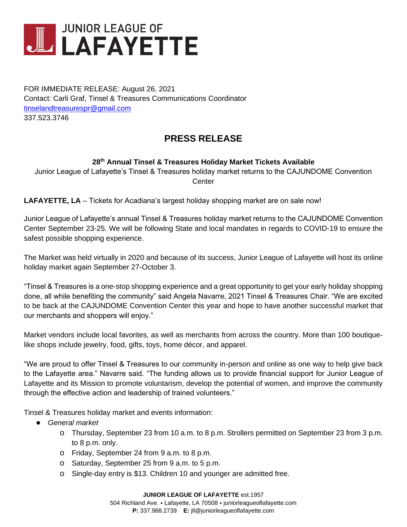

FOR IMMEDIATE RELEASE: August 26, 2021 Contact: Carli Graf, Tinsel & Treasures Communications Coordinator [tinselandtreasurespr@gmail.com](mailto:tinselandtreasurespr@gmail.com) 337.523.3746

## **PRESS RELEASE**

## **28 th Annual Tinsel & Treasures Holiday Market Tickets Available**

Junior League of Lafayette's Tinsel & Treasures holiday market returns to the CAJUNDOME Convention **Center** 

**LAFAYETTE, LA** – Tickets for Acadiana's largest holiday shopping market are on sale now!

Junior League of Lafayette's annual Tinsel & Treasures holiday market returns to the CAJUNDOME Convention Center September 23-25. We will be following State and local mandates in regards to COVID-19 to ensure the safest possible shopping experience.

The Market was held virtually in 2020 and because of its success, Junior League of Lafayette will host its online holiday market again September 27-October 3.

"Tinsel & Treasures is a one-stop shopping experience and a great opportunity to get your early holiday shopping done, all while benefiting the community" said Angela Navarre, 2021 Tinsel & Treasures Chair. "We are excited to be back at the CAJUNDOME Convention Center this year and hope to have another successful market that our merchants and shoppers will enjoy."

Market vendors include local favorites, as well as merchants from across the country. More than 100 boutiquelike shops include jewelry, food, gifts, toys, home décor, and apparel.

"We are proud to offer Tinsel & Treasures to our community in-person and online as one way to help give back to the Lafayette area." Navarre said. "The funding allows us to provide financial support for Junior League of Lafayette and its Mission to promote voluntarism, develop the potential of women, and improve the community through the effective action and leadership of trained volunteers."

Tinsel & Treasures holiday market and events information:

- *General market*
	- o Thursday, September 23 from 10 a.m. to 8 p.m. Strollers permitted on September 23 from 3 p.m. to 8 p.m. only.
	- o Friday, September 24 from 9 a.m. to 8 p.m.
	- o Saturday, September 25 from 9 a.m. to 5 p.m.
	- o Single-day entry is \$13. Children 10 and younger are admitted free.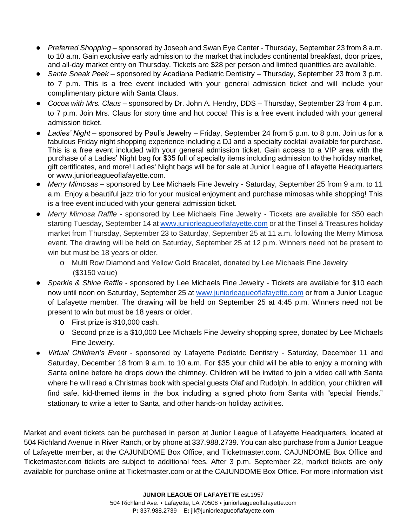- *Preferred Shopping* sponsored by Joseph and Swan Eye Center Thursday, September 23 from 8 a.m. to 10 a.m. Gain exclusive early admission to the market that includes continental breakfast, door prizes, and all-day market entry on Thursday. Tickets are \$28 per person and limited quantities are available.
- *Santa Sneak Peek* sponsored by Acadiana Pediatric Dentistry Thursday, September 23 from 3 p.m. to 7 p.m. This is a free event included with your general admission ticket and will include your complimentary picture with Santa Claus.
- *Cocoa with Mrs. Claus* sponsored by Dr. John A. Hendry, DDS Thursday, September 23 from 4 p.m. to 7 p.m. Join Mrs. Claus for story time and hot cocoa! This is a free event included with your general admission ticket.
- Ladies' Night sponsored by Paul's Jewelry Friday, September 24 from 5 p.m. to 8 p.m. Join us for a fabulous Friday night shopping experience including a DJ and a specialty cocktail available for purchase. This is a free event included with your general admission ticket. Gain access to a VIP area with the purchase of a Ladies' Night bag for \$35 full of specialty items including admission to the holiday market, gift certificates, and more! Ladies' Night bags will be for sale at Junior League of Lafayette Headquarters or www.juniorleagueoflafayette.com.
- *Merry Mimosas* sponsored by Lee Michaels Fine Jewelry Saturday, September 25 from 9 a.m. to 11 a.m. Enjoy a beautiful jazz trio for your musical enjoyment and purchase mimosas while shopping! This is a free event included with your general admission ticket.
- *Merry Mimosa Raffle* sponsored by Lee Michaels Fine Jewelry Tickets are available for \$50 each starting Tuesday, September 14 at [www.juniorleagueoflafayette.com](http://www.juniorleagueoflafayette.com/) or at the Tinsel & Treasures holiday market from Thursday, September 23 to Saturday, September 25 at 11 a.m. following the Merry Mimosa event. The drawing will be held on Saturday, September 25 at 12 p.m. Winners need not be present to win but must be 18 years or older.
	- o Multi Row Diamond and Yellow Gold Bracelet, donated by Lee Michaels Fine Jewelry (\$3150 value)
- *Sparkle & Shine Raffle*  sponsored by Lee Michaels Fine Jewelry Tickets are available for \$10 each now until noon on Saturday, September 25 at [www.juniorleagueoflafayette.com](http://www.juniorleagueoflafayette.com/) or from a Junior League of Lafayette member. The drawing will be held on September 25 at 4:45 p.m. Winners need not be present to win but must be 18 years or older.
	- o First prize is \$10,000 cash.
	- o Second prize is a \$10,000 Lee Michaels Fine Jewelry shopping spree, donated by Lee Michaels Fine Jewelry.
- *Virtual Children's Event -* sponsored by Lafayette Pediatric Dentistry Saturday, December 11 and Saturday, December 18 from 9 a.m. to 10 a.m. For \$35 your child will be able to enjoy a morning with Santa online before he drops down the chimney. Children will be invited to join a video call with Santa where he will read a Christmas book with special guests Olaf and Rudolph. In addition, your children will find safe, kid-themed items in the box including a signed photo from Santa with "special friends," stationary to write a letter to Santa, and other hands-on holiday activities.

Market and event tickets can be purchased in person at Junior League of Lafayette Headquarters, located at 504 Richland Avenue in River Ranch, or by phone at 337.988.2739. You can also purchase from a Junior League of Lafayette member, at the CAJUNDOME Box Office, and Ticketmaster.com. CAJUNDOME Box Office and Ticketmaster.com tickets are subject to additional fees. After 3 p.m. September 22, market tickets are only available for purchase online at Ticketmaster.com or at the CAJUNDOME Box Office. For more information visit